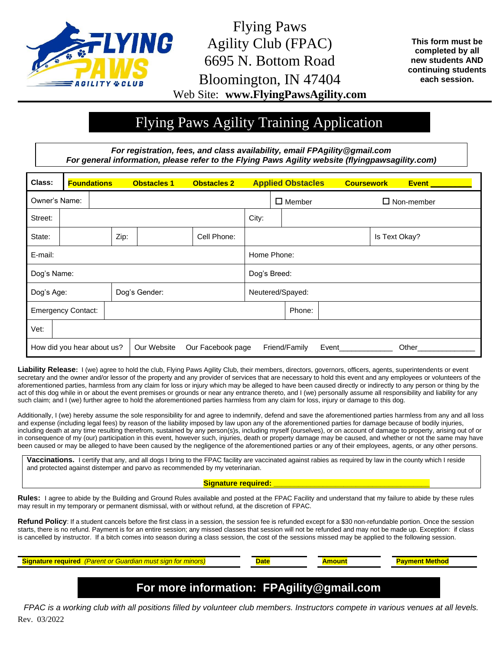

Flying Paws Agility Club (FPAC) 6695 N. Bottom Road Bloomington, IN 47404 Web Site: **www.FlyingPawsAgility.com**

**This form must be completed by all new students AND continuing students each session.**

## Flying Paws Agility Training Application

*For registration, fees, and class availability, email FPAgility@gmail.com For general information, please refer to the Flying Paws Agility website (flyingpawsagility.com)*

| Class:                                                                                            |  | <b>Foundations</b> |               | <b>Obstacles 1</b> | <b>Obstacles 2</b> | <b>Applied Obstacles</b> |                  |        | <b>Coursework</b> |  | <b>Event</b>  |  |
|---------------------------------------------------------------------------------------------------|--|--------------------|---------------|--------------------|--------------------|--------------------------|------------------|--------|-------------------|--|---------------|--|
| Owner's Name:                                                                                     |  |                    |               |                    |                    | $\square$ Member         |                  |        | $\Box$ Non-member |  |               |  |
| Street:                                                                                           |  |                    |               |                    |                    | City:                    |                  |        |                   |  |               |  |
| State:                                                                                            |  |                    | Zip:          |                    | Cell Phone:        |                          |                  |        |                   |  | Is Text Okay? |  |
| E-mail:                                                                                           |  |                    |               |                    |                    | Home Phone:              |                  |        |                   |  |               |  |
| Dog's Name:                                                                                       |  |                    |               |                    |                    | Dog's Breed:             |                  |        |                   |  |               |  |
| Dog's Age:                                                                                        |  |                    | Dog's Gender: |                    |                    |                          | Neutered/Spayed: |        |                   |  |               |  |
| <b>Emergency Contact:</b>                                                                         |  |                    |               |                    |                    |                          |                  | Phone: |                   |  |               |  |
| Vet:                                                                                              |  |                    |               |                    |                    |                          |                  |        |                   |  |               |  |
| Our Website<br>How did you hear about us?<br>Our Facebook page<br>Friend/Family<br>Event<br>Other |  |                    |               |                    |                    |                          |                  |        |                   |  |               |  |

**Liability Release:** I (we) agree to hold the club, Flying Paws Agility Club, their members, directors, governors, officers, agents, superintendents or event secretary and the owner and/or lessor of the property and any provider of services that are necessary to hold this event and any employees or volunteers of the aforementioned parties, harmless from any claim for loss or injury which may be alleged to have been caused directly or indirectly to any person or thing by the act of this dog while in or about the event premises or grounds or near any entrance thereto, and I (we) personally assume all responsibility and liability for any such claim; and I (we) further agree to hold the aforementioned parties harmless from any claim for loss, injury or damage to this dog.

Additionally, I (we) hereby assume the sole responsibility for and agree to indemnify, defend and save the aforementioned parties harmless from any and all loss and expense (including legal fees) by reason of the liability imposed by law upon any of the aforementioned parties for damage because of bodily injuries, including death at any time resulting therefrom, sustained by any person(s)s, including myself (ourselves), or on account of damage to property, arising out of or in consequence of my (our) participation in this event, however such, injuries, death or property damage may be caused, and whether or not the same may have been caused or may be alleged to have been caused by the negligence of the aforementioned parties or any of their employees, agents, or any other persons.

**Vaccinations.** I certify that any, and all dogs I bring to the FPAC facility are vaccinated against rabies as required by law in the county which I reside and protected against distemper and parvo as recommended by my veterinarian.

## **Signature required: \_\_\_\_\_\_\_\_\_\_\_\_\_\_\_\_\_\_\_\_\_\_\_\_\_\_\_\_\_\_\_\_\_\_\_\_\_\_**

**Rules:** I agree to abide by the Building and Ground Rules available and posted at the FPAC Facility and understand that my failure to abide by these rules may result in my temporary or permanent dismissal, with or without refund, at the discretion of FPAC.

Refund Policy: If a student cancels before the first class in a session, the session fee is refunded except for a \$30 non-refundable portion. Once the session starts, there is no refund. Payment is for an entire session; any missed classes that session will not be refunded and may not be made up. Exception: if class is cancelled by instructor. If a bitch comes into season during a class session, the cost of the sessions missed may be applied to the following session.

**Signature required** (Parent or Guardian must sign for minors) **Date Date Payment Payment Method Payment Method** 

## **For more information: FPAgility@gmail.com**

Rev. 03/2022 *FPAC is a working club with all positions filled by volunteer club members. Instructors compete in various venues at all levels.*